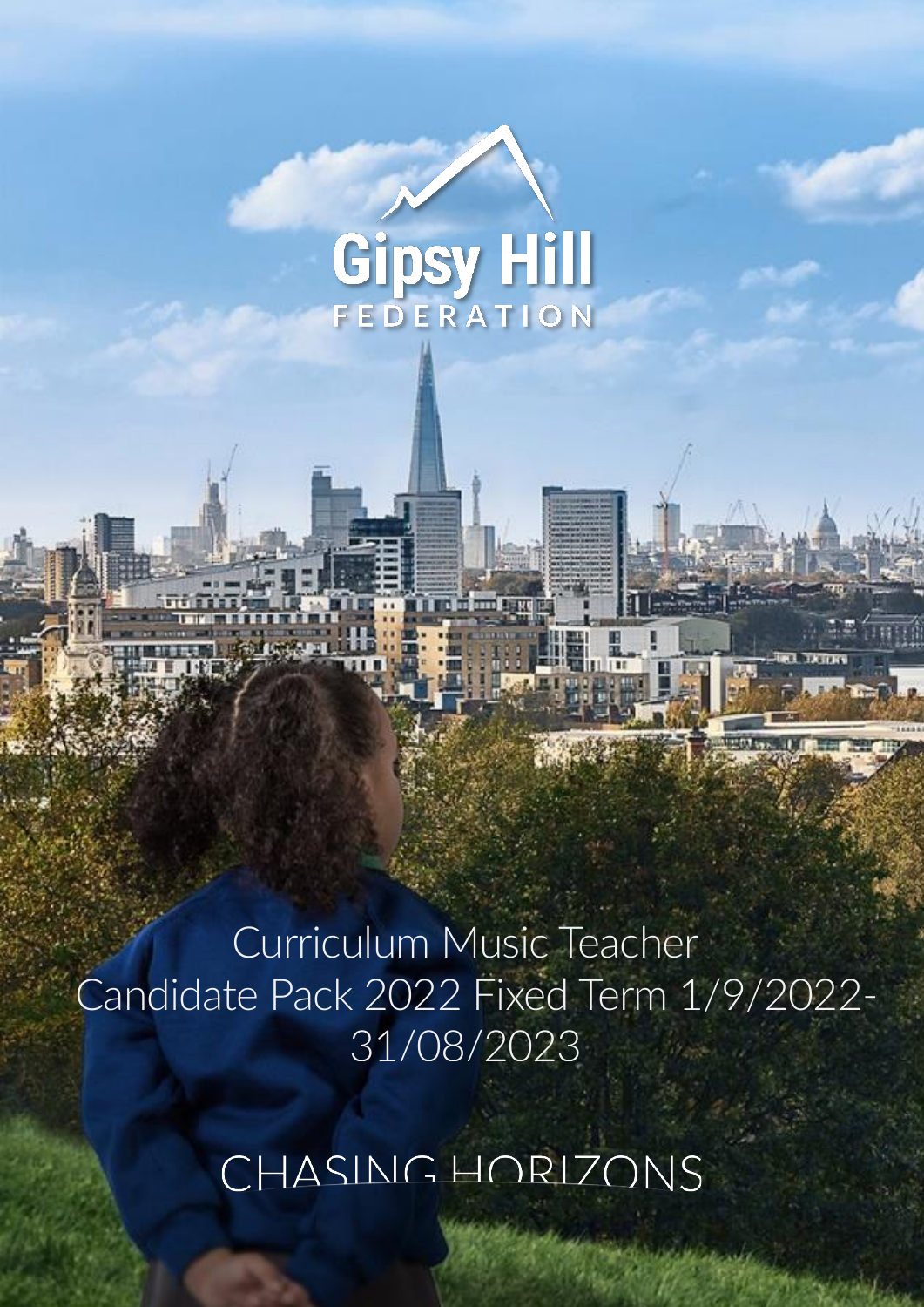# Gipsy Hill

Curriculum Music Teacher Candidate Pack 2022 Fixed Term 1/9/2022- 31/08/2023

CHASINGHORIZONS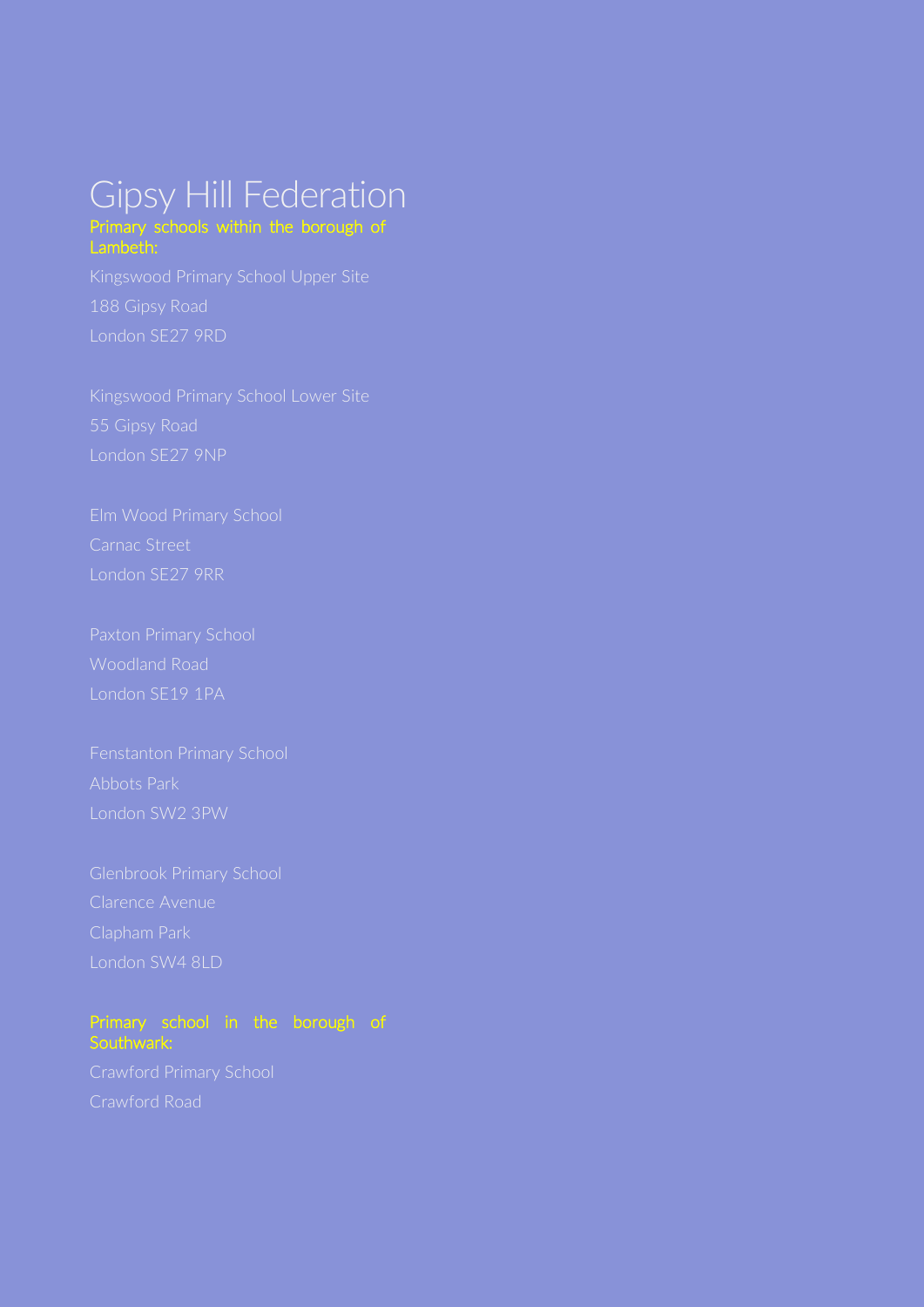## Gipsy Hill Federation Primary schools within the borough of Lambeth:

London SE27 9NP

London SE19 1PA

Abbots Park London SW2 3PW

London SW4 8LD

#### Primary school in the borough of Southwark: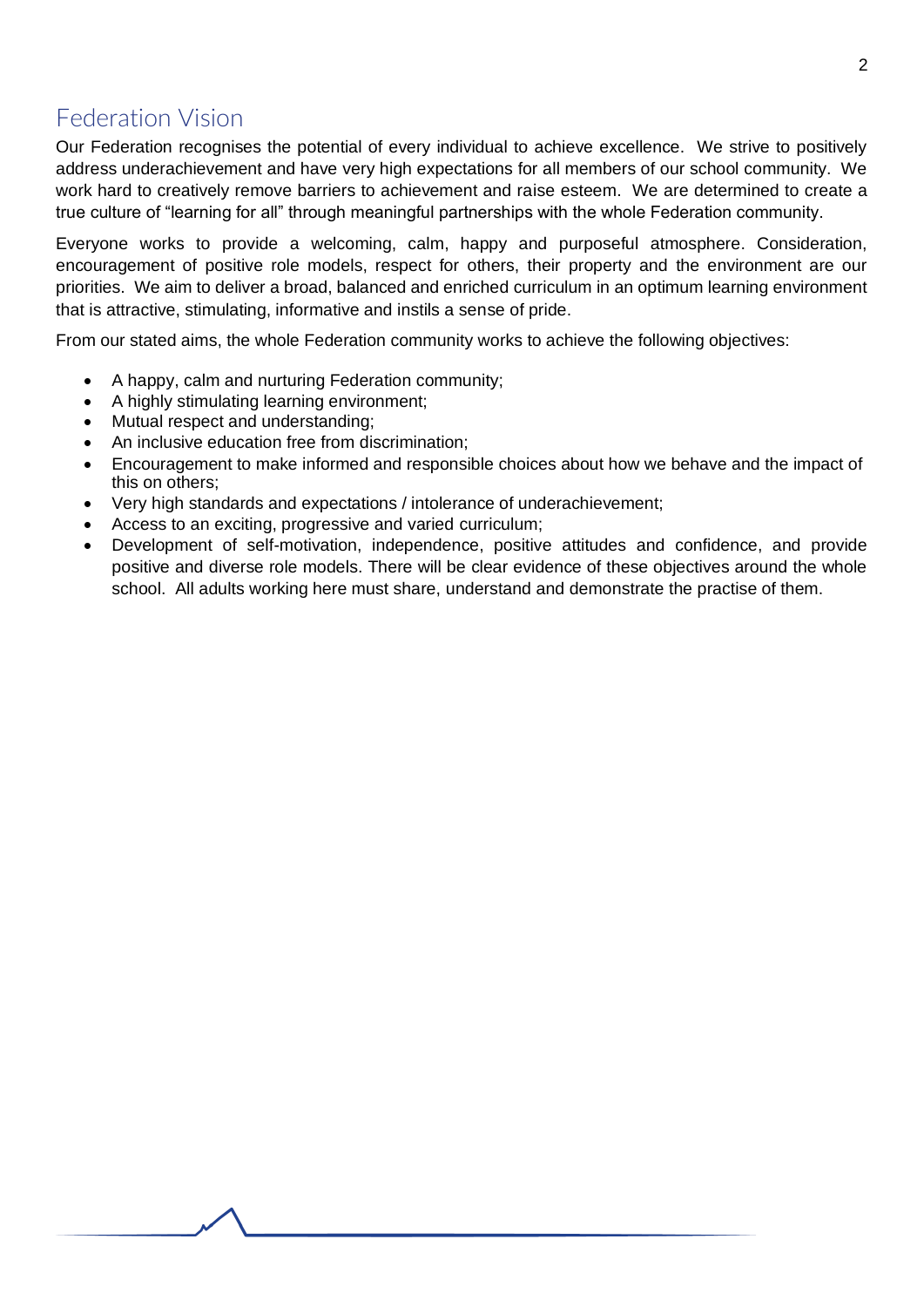## Federation Vision

Our Federation recognises the potential of every individual to achieve excellence. We strive to positively address underachievement and have very high expectations for all members of our school community. We work hard to creatively remove barriers to achievement and raise esteem. We are determined to create a true culture of "learning for all" through meaningful partnerships with the whole Federation community.

Everyone works to provide a welcoming, calm, happy and purposeful atmosphere. Consideration, encouragement of positive role models, respect for others, their property and the environment are our priorities. We aim to deliver a broad, balanced and enriched curriculum in an optimum learning environment that is attractive, stimulating, informative and instils a sense of pride.

From our stated aims, the whole Federation community works to achieve the following objectives:

- A happy, calm and nurturing Federation community;
- A highly stimulating learning environment;
- Mutual respect and understanding;
- An inclusive education free from discrimination;
- Encouragement to make informed and responsible choices about how we behave and the impact of this on others;
- Very high standards and expectations / intolerance of underachievement;
- Access to an exciting, progressive and varied curriculum;
- Development of self-motivation, independence, positive attitudes and confidence, and provide positive and diverse role models. There will be clear evidence of these objectives around the whole school. All adults working here must share, understand and demonstrate the practise of them.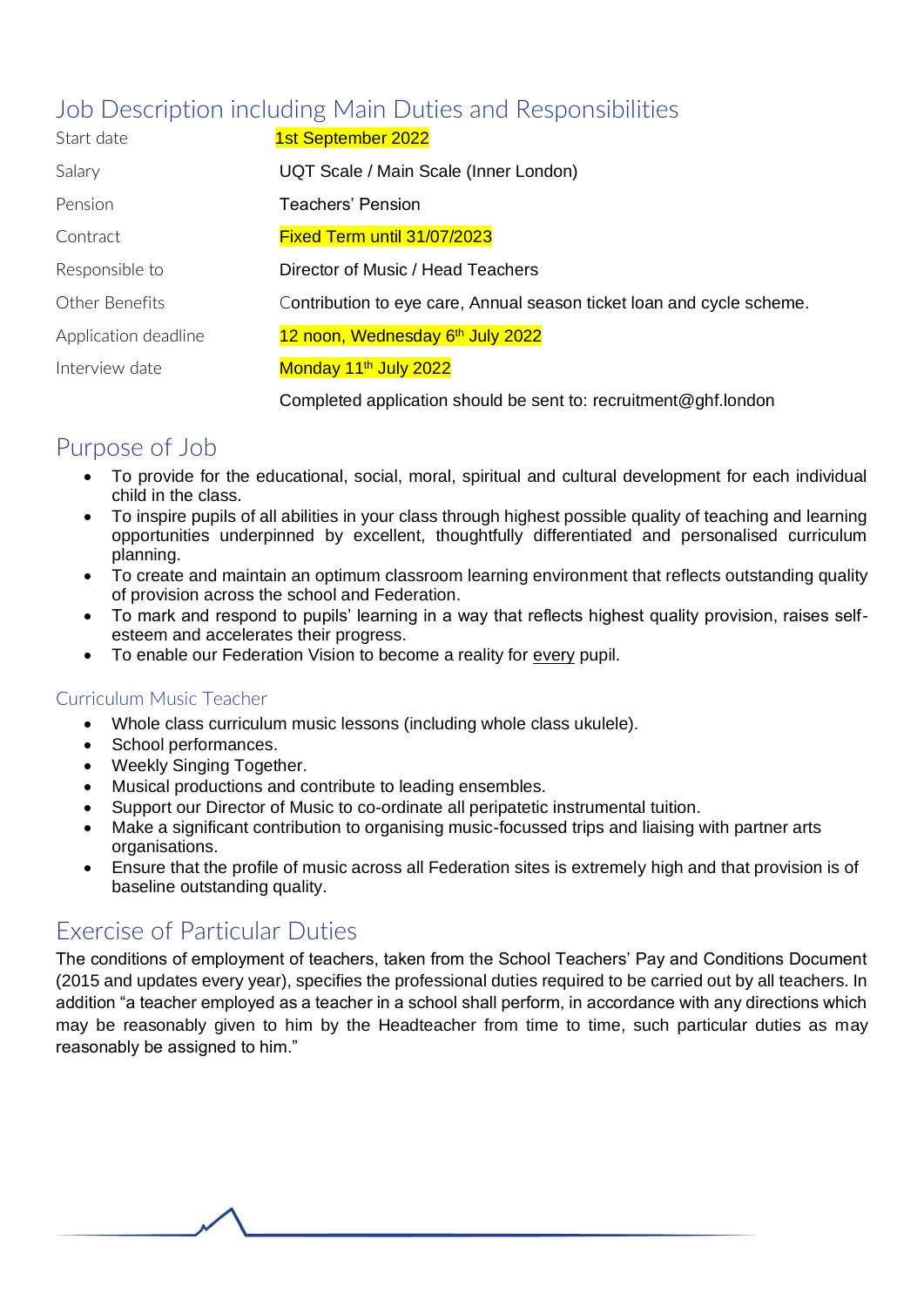# Job Description including Main Duties and Responsibilities

| Start date           | 1st September 2022                                                    |
|----------------------|-----------------------------------------------------------------------|
| Salary               | UQT Scale / Main Scale (Inner London)                                 |
| Pension              | <b>Teachers' Pension</b>                                              |
| Contract             | Fixed Term until 31/07/2023                                           |
| Responsible to       | Director of Music / Head Teachers                                     |
| Other Benefits       | Contribution to eye care, Annual season ticket loan and cycle scheme. |
| Application deadline | 12 noon, Wednesday 6 <sup>th</sup> July 2022                          |
| Interview date       | Monday 11 <sup>th</sup> July 2022                                     |
|                      |                                                                       |

Completed application should be sent to: [recruitment@ghf.london](mailto:recruitment@ghf.london)

# Purpose of Job

- To provide for the educational, social, moral, spiritual and cultural development for each individual child in the class.
- To inspire pupils of all abilities in your class through highest possible quality of teaching and learning opportunities underpinned by excellent, thoughtfully differentiated and personalised curriculum planning.
- To create and maintain an optimum classroom learning environment that reflects outstanding quality of provision across the school and Federation.
- To mark and respond to pupils' learning in a way that reflects highest quality provision, raises selfesteem and accelerates their progress.
- To enable our Federation Vision to become a reality for every pupil.

#### Curriculum Music Teacher

- Whole class curriculum music lessons (including whole class ukulele).
- School performances.
- Weekly Singing Together.
- Musical productions and contribute to leading ensembles.
- Support our Director of Music to co-ordinate all peripatetic instrumental tuition.
- Make a significant contribution to organising music-focussed trips and liaising with partner arts organisations.
- Ensure that the profile of music across all Federation sites is extremely high and that provision is of baseline outstanding quality.

# Exercise of Particular Duties

The conditions of employment of teachers, taken from the School Teachers' Pay and Conditions Document (2015 and updates every year), specifies the professional duties required to be carried out by all teachers. In addition "a teacher employed as a teacher in a school shall perform, in accordance with any directions which may be reasonably given to him by the Headteacher from time to time, such particular duties as may reasonably be assigned to him."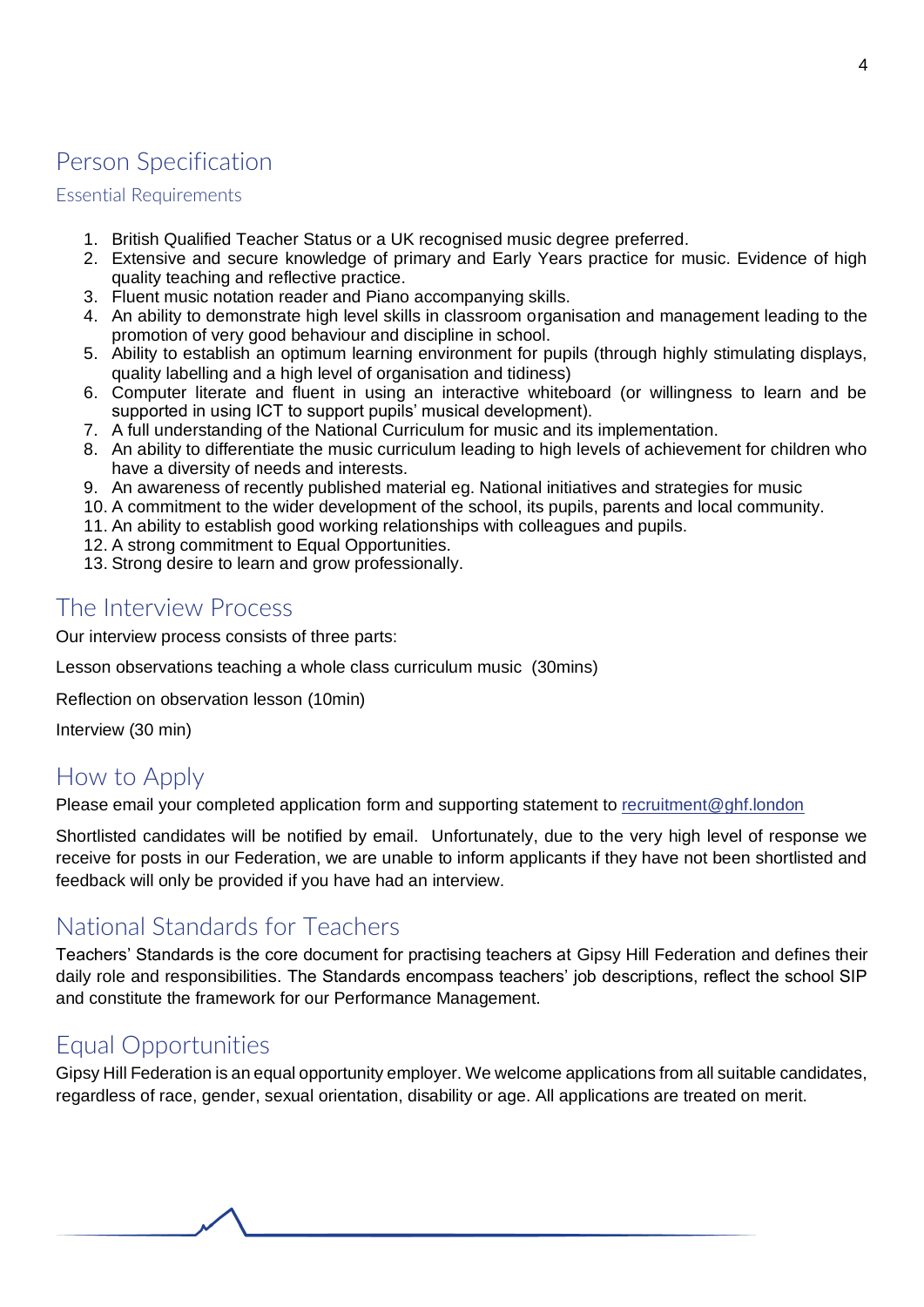# Person Specification

#### Essential Requirements

- 1. British Qualified Teacher Status or a UK recognised music degree preferred.
- 2. Extensive and secure knowledge of primary and Early Years practice for music. Evidence of high quality teaching and reflective practice.
- 3. Fluent music notation reader and Piano accompanying skills.
- 4. An ability to demonstrate high level skills in classroom organisation and management leading to the promotion of very good behaviour and discipline in school.
- 5. Ability to establish an optimum learning environment for pupils (through highly stimulating displays, quality labelling and a high level of organisation and tidiness)
- 6. Computer literate and fluent in using an interactive whiteboard (or willingness to learn and be supported in using ICT to support pupils' musical development).
- 7. A full understanding of the National Curriculum for music and its implementation.
- 8. An ability to differentiate the music curriculum leading to high levels of achievement for children who have a diversity of needs and interests.
- 9. An awareness of recently published material eg. National initiatives and strategies for music
- 10. A commitment to the wider development of the school, its pupils, parents and local community.
- 11. An ability to establish good working relationships with colleagues and pupils.
- 12. A strong commitment to Equal Opportunities.
- 13. Strong desire to learn and grow professionally.

## The Interview Process

Our interview process consists of three parts:

Lesson observations teaching a whole class curriculum music (30mins)

Reflection on observation lesson (10min)

Interview (30 min)

# How to Apply

Please email your completed application form and supporting statement to [recruitment@ghf.london](mailto:recruitment@ghf.london)

Shortlisted candidates will be notified by email. Unfortunately, due to the very high level of response we receive for posts in our Federation, we are unable to inform applicants if they have not been shortlisted and feedback will only be provided if you have had an interview.

## National Standards for Teachers

Teachers' Standards is the core document for practising teachers at Gipsy Hill Federation and defines their daily role and responsibilities. The Standards encompass teachers' job descriptions, reflect the school SIP and constitute the framework for our Performance Management.

# Equal Opportunities

Gipsy Hill Federation is an equal opportunity employer. We welcome applications from all suitable candidates, regardless of race, gender, sexual orientation, disability or age. All applications are treated on merit.